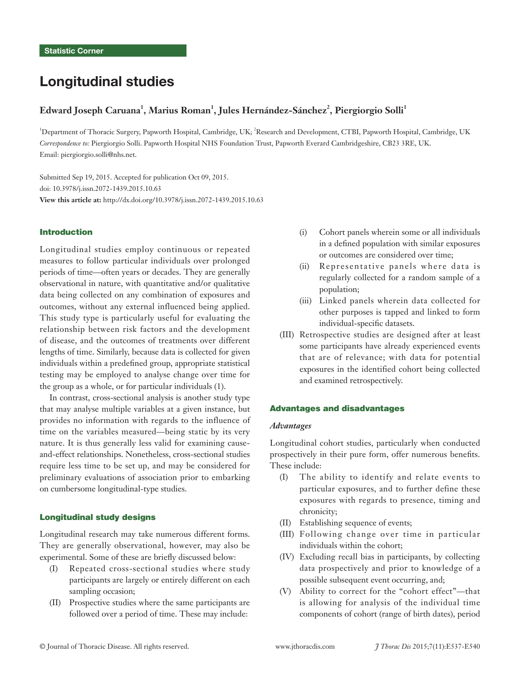# Longitudinal studies

# $\bf{Edward}$  Joseph Caruana<sup>1</sup>, Marius  $\bf{Roman}^1$ , Jules  $\bf{Hernández-Sánchez}^2$ , Piergiorgio Solli $^1$

<sup>1</sup>Department of Thoracic Surgery, Papworth Hospital, Cambridge, UK; <sup>2</sup>Research and Development, CTBI, Papworth Hospital, Cambridge, UK *Correspondence to:* Piergiorgio Solli. Papworth Hospital NHS Foundation Trust, Papworth Everard Cambridgeshire, CB23 3RE, UK. Email: piergiorgio.solli@nhs.net.

Submitted Sep 19, 2015. Accepted for publication Oct 09, 2015. doi: 10.3978/j.issn.2072-1439.2015.10.63 **View this article at:** http://dx.doi.org/10.3978/j.issn.2072-1439.2015.10.63

# Introduction

Longitudinal studies employ continuous or repeated measures to follow particular individuals over prolonged periods of time—often years or decades. They are generally observational in nature, with quantitative and/or qualitative data being collected on any combination of exposures and outcomes, without any external influenced being applied. This study type is particularly useful for evaluating the relationship between risk factors and the development of disease, and the outcomes of treatments over different lengths of time. Similarly, because data is collected for given individuals within a predefined group, appropriate statistical testing may be employed to analyse change over time for the group as a whole, or for particular individuals (1).

In contrast, cross-sectional analysis is another study type that may analyse multiple variables at a given instance, but provides no information with regards to the influence of time on the variables measured—being static by its very nature. It is thus generally less valid for examining causeand-effect relationships. Nonetheless, cross-sectional studies require less time to be set up, and may be considered for preliminary evaluations of association prior to embarking on cumbersome longitudinal-type studies.

### Longitudinal study designs

Longitudinal research may take numerous different forms. They are generally observational, however, may also be experimental. Some of these are briefly discussed below:

- (I) Repeated cross-sectional studies where study participants are largely or entirely different on each sampling occasion;
- (II) Prospective studies where the same participants are followed over a period of time. These may include:
- (i) Cohort panels wherein some or all individuals in a defined population with similar exposures or outcomes are considered over time;
- (ii) Representative panels where data is regularly collected for a random sample of a population;
- (iii) Linked panels wherein data collected for other purposes is tapped and linked to form individual-specific datasets.
- (III) Retrospective studies are designed after at least some participants have already experienced events that are of relevance; with data for potential exposures in the identified cohort being collected and examined retrospectively.

#### Advantages and disadvantages

### *Advantages*

Longitudinal cohort studies, particularly when conducted prospectively in their pure form, offer numerous benefits. These include:

- (I) The ability to identify and relate events to particular exposures, and to further define these exposures with regards to presence, timing and chronicity;
- (II) Establishing sequence of events;
- (III) Following change over time in particular individuals within the cohort;
- (IV) Excluding recall bias in participants, by collecting data prospectively and prior to knowledge of a possible subsequent event occurring, and;
- (V) Ability to correct for the "cohort effect"—that is allowing for analysis of the individual time components of cohort (range of birth dates), period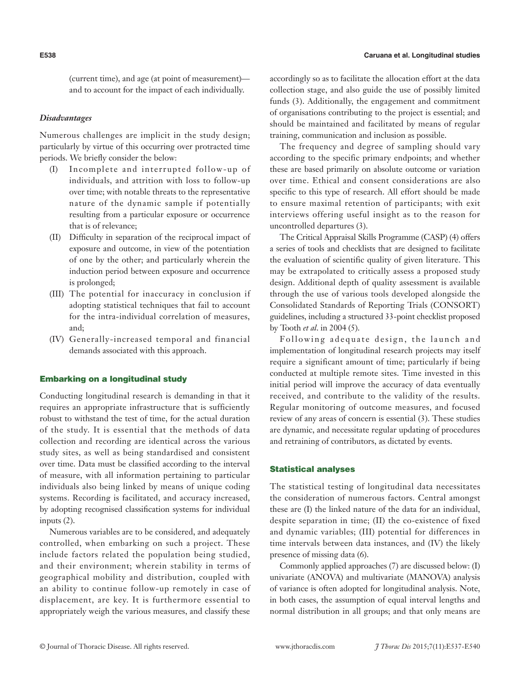(current time), and age (at point of measurement) and to account for the impact of each individually.

# *Disadvantages*

Numerous challenges are implicit in the study design; particularly by virtue of this occurring over protracted time periods. We briefly consider the below:

- (I) Incomplete and interrupted follow-up of individuals, and attrition with loss to follow-up over time; with notable threats to the representative nature of the dynamic sample if potentially resulting from a particular exposure or occurrence that is of relevance;
- (II) Difficulty in separation of the reciprocal impact of exposure and outcome, in view of the potentiation of one by the other; and particularly wherein the induction period between exposure and occurrence is prolonged;
- (III) The potential for inaccuracy in conclusion if adopting statistical techniques that fail to account for the intra-individual correlation of measures, and;
- (IV) Generally-increased temporal and financial demands associated with this approach.

# Embarking on a longitudinal study

Conducting longitudinal research is demanding in that it requires an appropriate infrastructure that is sufficiently robust to withstand the test of time, for the actual duration of the study. It is essential that the methods of data collection and recording are identical across the various study sites, as well as being standardised and consistent over time. Data must be classified according to the interval of measure, with all information pertaining to particular individuals also being linked by means of unique coding systems. Recording is facilitated, and accuracy increased, by adopting recognised classification systems for individual inputs (2).

Numerous variables are to be considered, and adequately controlled, when embarking on such a project. These include factors related the population being studied, and their environment; wherein stability in terms of geographical mobility and distribution, coupled with an ability to continue follow-up remotely in case of displacement, are key. It is furthermore essential to appropriately weigh the various measures, and classify these accordingly so as to facilitate the allocation effort at the data collection stage, and also guide the use of possibly limited funds (3). Additionally, the engagement and commitment of organisations contributing to the project is essential; and should be maintained and facilitated by means of regular training, communication and inclusion as possible.

The frequency and degree of sampling should vary according to the specific primary endpoints; and whether these are based primarily on absolute outcome or variation over time. Ethical and consent considerations are also specific to this type of research. All effort should be made to ensure maximal retention of participants; with exit interviews offering useful insight as to the reason for uncontrolled departures (3).

The Critical Appraisal Skills Programme (CASP) (4) offers a series of tools and checklists that are designed to facilitate the evaluation of scientific quality of given literature. This may be extrapolated to critically assess a proposed study design. Additional depth of quality assessment is available through the use of various tools developed alongside the Consolidated Standards of Reporting Trials (CONSORT) guidelines, including a structured 33-point checklist proposed by Tooth *et al*. in 2004 (5).

Following adequate design, the launch and implementation of longitudinal research projects may itself require a significant amount of time; particularly if being conducted at multiple remote sites. Time invested in this initial period will improve the accuracy of data eventually received, and contribute to the validity of the results. Regular monitoring of outcome measures, and focused review of any areas of concern is essential (3). These studies are dynamic, and necessitate regular updating of procedures and retraining of contributors, as dictated by events.

### Statistical analyses

The statistical testing of longitudinal data necessitates the consideration of numerous factors. Central amongst these are (I) the linked nature of the data for an individual, despite separation in time; (II) the co-existence of fixed and dynamic variables; (III) potential for differences in time intervals between data instances, and (IV) the likely presence of missing data (6).

Commonly applied approaches (7) are discussed below: (I) univariate (ANOVA) and multivariate (MANOVA) analysis of variance is often adopted for longitudinal analysis. Note, in both cases, the assumption of equal interval lengths and normal distribution in all groups; and that only means are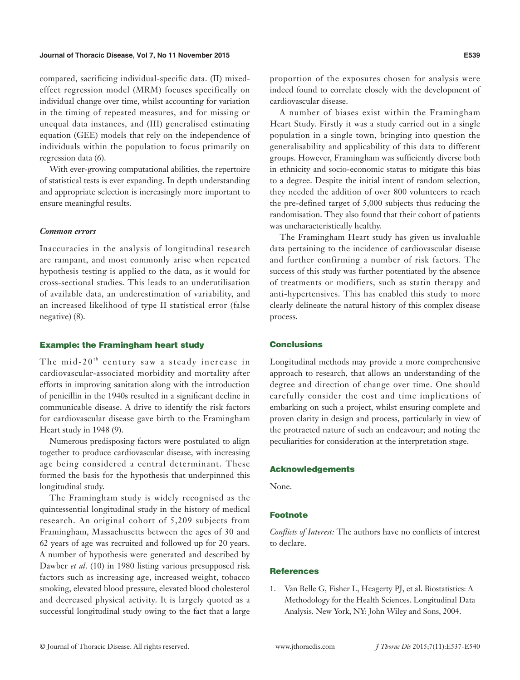#### **Journal of Thoracic Disease, Vol 7, No 11 November 2015 E539**

compared, sacrificing individual-specific data. (II) mixedeffect regression model (MRM) focuses specifically on individual change over time, whilst accounting for variation in the timing of repeated measures, and for missing or unequal data instances, and (III) generalised estimating equation (GEE) models that rely on the independence of individuals within the population to focus primarily on regression data (6).

With ever-growing computational abilities, the repertoire of statistical tests is ever expanding. In depth understanding and appropriate selection is increasingly more important to ensure meaningful results.

#### *Common errors*

Inaccuracies in the analysis of longitudinal research are rampant, and most commonly arise when repeated hypothesis testing is applied to the data, as it would for cross-sectional studies. This leads to an underutilisation of available data, an underestimation of variability, and an increased likelihood of type II statistical error (false negative) (8).

# Example: the Framingham heart study

The mid-20<sup>th</sup> century saw a steady increase in cardiovascular-associated morbidity and mortality after efforts in improving sanitation along with the introduction of penicillin in the 1940s resulted in a significant decline in communicable disease. A drive to identify the risk factors for cardiovascular disease gave birth to the Framingham Heart study in 1948 (9).

Numerous predisposing factors were postulated to align together to produce cardiovascular disease, with increasing age being considered a central determinant. These formed the basis for the hypothesis that underpinned this longitudinal study.

The Framingham study is widely recognised as the quintessential longitudinal study in the history of medical research. An original cohort of 5,209 subjects from Framingham, Massachusetts between the ages of 30 and 62 years of age was recruited and followed up for 20 years. A number of hypothesis were generated and described by Dawber *et al*. (10) in 1980 listing various presupposed risk factors such as increasing age, increased weight, tobacco smoking, elevated blood pressure, elevated blood cholesterol and decreased physical activity. It is largely quoted as a successful longitudinal study owing to the fact that a large

proportion of the exposures chosen for analysis were indeed found to correlate closely with the development of cardiovascular disease.

A number of biases exist within the Framingham Heart Study. Firstly it was a study carried out in a single population in a single town, bringing into question the generalisability and applicability of this data to different groups. However, Framingham was sufficiently diverse both in ethnicity and socio-economic status to mitigate this bias to a degree. Despite the initial intent of random selection, they needed the addition of over 800 volunteers to reach the pre-defined target of 5,000 subjects thus reducing the randomisation. They also found that their cohort of patients was uncharacteristically healthy.

The Framingham Heart study has given us invaluable data pertaining to the incidence of cardiovascular disease and further confirming a number of risk factors. The success of this study was further potentiated by the absence of treatments or modifiers, such as statin therapy and anti-hypertensives. This has enabled this study to more clearly delineate the natural history of this complex disease process.

# **Conclusions**

Longitudinal methods may provide a more comprehensive approach to research, that allows an understanding of the degree and direction of change over time. One should carefully consider the cost and time implications of embarking on such a project, whilst ensuring complete and proven clarity in design and process, particularly in view of the protracted nature of such an endeavour; and noting the peculiarities for consideration at the interpretation stage.

#### Acknowledgements

None.

# Footnote

*Conflicts of Interest:* The authors have no conflicts of interest to declare.

#### **References**

1. Van Belle G, Fisher L, Heagerty PJ, et al. Biostatistics: A Methodology for the Health Sciences. Longitudinal Data Analysis. New York, NY: John Wiley and Sons, 2004.